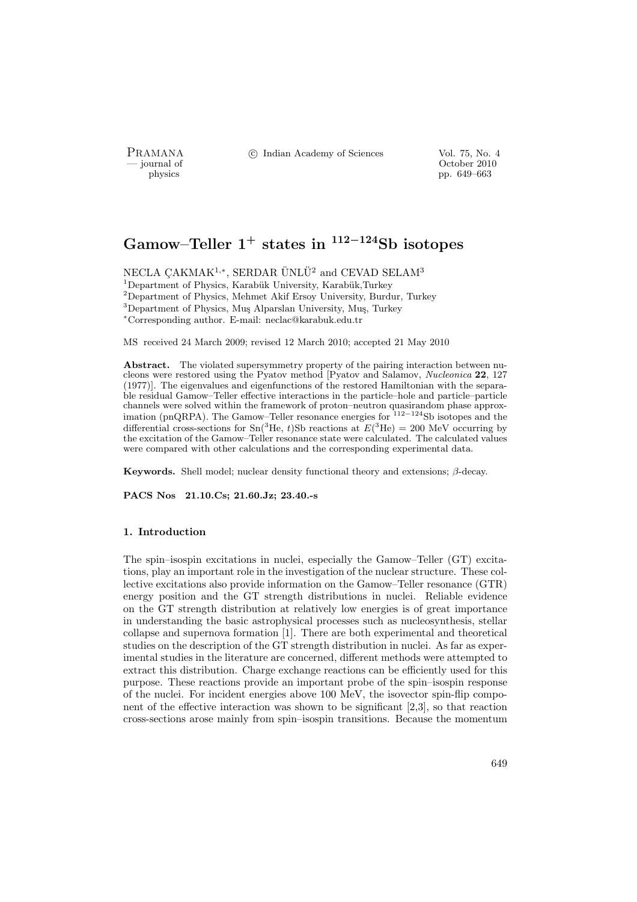PRAMANA <sup>©</sup>© Indian Academy of Sciences Vol. 75, No. 4<br>
— journal of Corober 2010

position of the contract of the contract of the contract of the contract of the contract of the contract of the contract of the contract of the contract of the contract of the contract of the contract of the contract of th pp. 649–663

# Gamow–Teller  $1^+$  states in  $112-124$ Sb isotopes

NECLA ÇAKMAK<sup>1,∗</sup>, SERDAR ÜNLÜ<sup>2</sup> and CEVAD SELAM<sup>3</sup> <sup>1</sup>Department of Physics, Karabük University, Karabük,Turkey <sup>2</sup>Department of Physics, Mehmet Akif Ersoy University, Burdur, Turkey <sup>3</sup>Department of Physics, Muş Alparslan University, Muş, Turkey <sup>∗</sup>Corresponding author. E-mail: neclac@karabuk.edu.tr

MS received 24 March 2009; revised 12 March 2010; accepted 21 May 2010

Abstract. The violated supersymmetry property of the pairing interaction between nucleons were restored using the Pyatov method [Pyatov and Salamov, Nucleonica 22, 127 (1977)]. The eigenvalues and eigenfunctions of the restored Hamiltonian with the separable residual Gamow–Teller effective interactions in the particle–hole and particle–particle channels were solved within the framework of proton–neutron quasirandom phase approximation (pnQRPA). The Gamow–Teller resonance energies for <sup>112</sup>−<sup>124</sup>Sb isotopes and the differential cross-sections for  $\text{Sn}^{3}\text{He}$ , t)Sb reactions at  $E^{3}\text{He}$  = 200 MeV occurring by the excitation of the Gamow–Teller resonance state were calculated. The calculated values were compared with other calculations and the corresponding experimental data.

Keywords. Shell model; nuclear density functional theory and extensions;  $\beta$ -decay.

PACS Nos 21.10.Cs; 21.60.Jz; 23.40.-s

#### 1. Introduction

The spin–isospin excitations in nuclei, especially the Gamow–Teller (GT) excitations, play an important role in the investigation of the nuclear structure. These collective excitations also provide information on the Gamow–Teller resonance (GTR) energy position and the GT strength distributions in nuclei. Reliable evidence on the GT strength distribution at relatively low energies is of great importance in understanding the basic astrophysical processes such as nucleosynthesis, stellar collapse and supernova formation [1]. There are both experimental and theoretical studies on the description of the GT strength distribution in nuclei. As far as experimental studies in the literature are concerned, different methods were attempted to extract this distribution. Charge exchange reactions can be efficiently used for this purpose. These reactions provide an important probe of the spin–isospin response of the nuclei. For incident energies above 100 MeV, the isovector spin-flip component of the effective interaction was shown to be significant [2,3], so that reaction cross-sections arose mainly from spin–isospin transitions. Because the momentum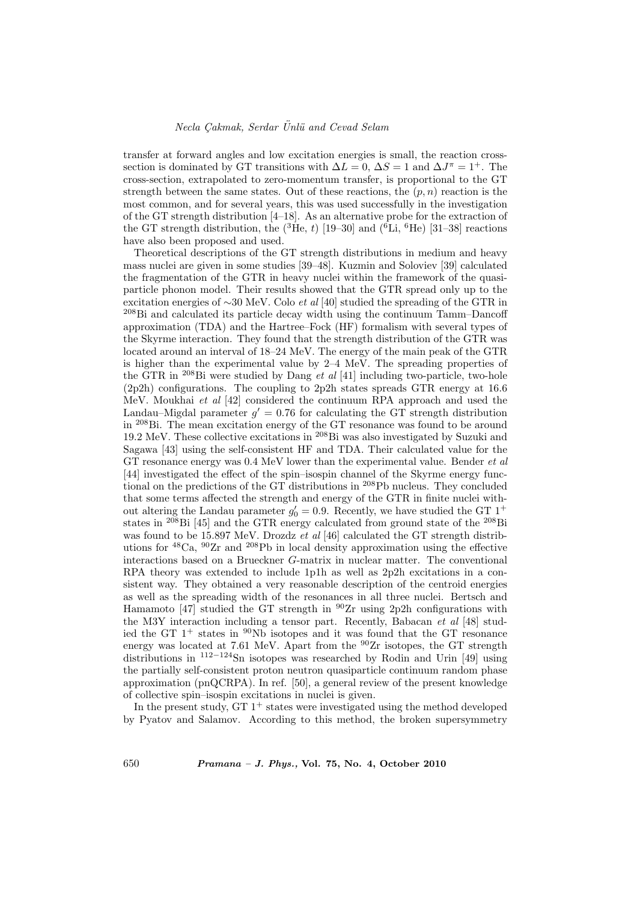transfer at forward angles and low excitation energies is small, the reaction crosssection is dominated by GT transitions with  $\Delta L = 0$ ,  $\Delta S = 1$  and  $\Delta J^{\pi} = 1^{+}$ . The cross-section, extrapolated to zero-momentum transfer, is proportional to the GT strength between the same states. Out of these reactions, the  $(p, n)$  reaction is the most common, and for several years, this was used successfully in the investigation of the GT strength distribution [4–18]. As an alternative probe for the extraction of the GT strength distribution, the  $({}^{3}He, t)$  [19–30] and  $({}^{6}Li, {}^{6}He)$  [31–38] reactions have also been proposed and used.

Theoretical descriptions of the GT strength distributions in medium and heavy mass nuclei are given in some studies [39–48]. Kuzmin and Soloviev [39] calculated the fragmentation of the GTR in heavy nuclei within the framework of the quasiparticle phonon model. Their results showed that the GTR spread only up to the excitation energies of ∼30 MeV. Colo et al [40] studied the spreading of the GTR in <sup>208</sup>Bi and calculated its particle decay width using the continuum Tamm–Dancoff approximation (TDA) and the Hartree–Fock (HF) formalism with several types of the Skyrme interaction. They found that the strength distribution of the GTR was located around an interval of 18–24 MeV. The energy of the main peak of the GTR is higher than the experimental value by 2–4 MeV. The spreading properties of the GTR in  $^{208}$ Bi were studied by Dang *et al* [41] including two-particle, two-hole (2p2h) configurations. The coupling to 2p2h states spreads GTR energy at 16.6 MeV. Moukhai et al [42] considered the continuum RPA approach and used the Landau–Migdal parameter  $g' = 0.76$  for calculating the GT strength distribution in <sup>208</sup>Bi. The mean excitation energy of the GT resonance was found to be around 19.2 MeV. These collective excitations in <sup>208</sup>Bi was also investigated by Suzuki and Sagawa [43] using the self-consistent HF and TDA. Their calculated value for the GT resonance energy was 0.4 MeV lower than the experimental value. Bender *et al* [44] investigated the effect of the spin–isospin channel of the Skyrme energy functional on the predictions of the GT distributions in <sup>208</sup>Pb nucleus. They concluded that some terms affected the strength and energy of the GTR in finite nuclei without altering the Landau parameter  $g'_0 = 0.9$ . Recently, we have studied the GT 1<sup>+</sup> states in  $^{208}$ Bi [45] and the GTR energy calculated from ground state of the  $^{208}$ Bi was found to be 15.897 MeV. Drozdz et al [46] calculated the GT strength distributions for <sup>48</sup>Ca, <sup>90</sup>Zr and <sup>208</sup>Pb in local density approximation using the effective interactions based on a Brueckner G-matrix in nuclear matter. The conventional RPA theory was extended to include 1p1h as well as 2p2h excitations in a consistent way. They obtained a very reasonable description of the centroid energies as well as the spreading width of the resonances in all three nuclei. Bertsch and Hamamoto  $\begin{bmatrix} 47 \end{bmatrix}$  studied the GT strength in  $\frac{90}{2r}$  using 2p2h configurations with the M3Y interaction including a tensor part. Recently, Babacan et al [48] studied the GT  $1^+$  states in  $90Nb$  isotopes and it was found that the GT resonance energy was located at 7.61 MeV. Apart from the  $^{90}Zr$  isotopes, the GT strength distributions in <sup>112</sup>−<sup>124</sup>Sn isotopes was researched by Rodin and Urin [49] using the partially self-consistent proton neutron quasiparticle continuum random phase approximation (pnQCRPA). In ref. [50], a general review of the present knowledge of collective spin–isospin excitations in nuclei is given.

In the present study,  $GT 1<sup>+</sup>$  states were investigated using the method developed by Pyatov and Salamov. According to this method, the broken supersymmetry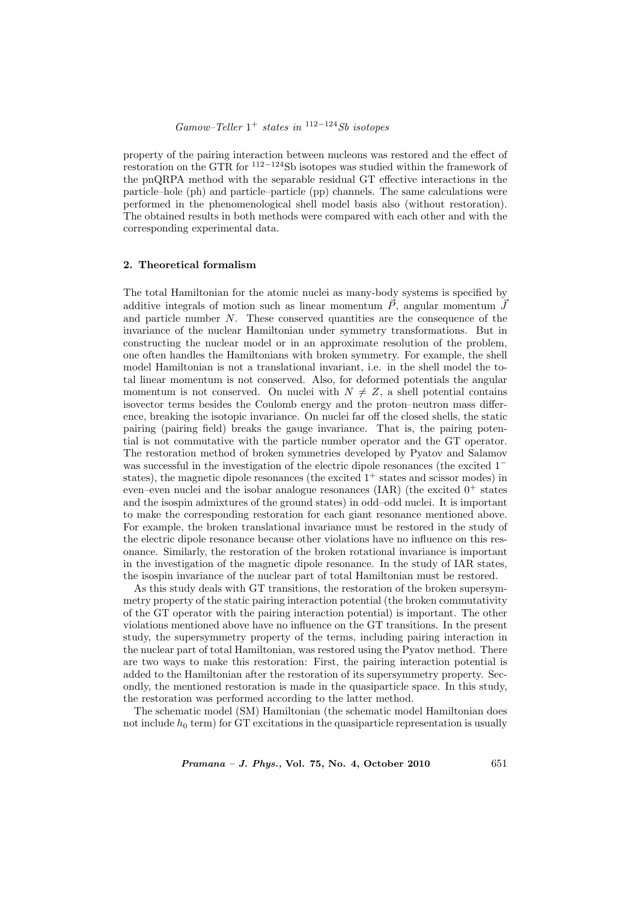property of the pairing interaction between nucleons was restored and the effect of restoration on the GTR for <sup>112</sup>−<sup>124</sup>Sb isotopes was studied within the framework of the pnQRPA method with the separable residual GT effective interactions in the particle–hole (ph) and particle–particle (pp) channels. The same calculations were performed in the phenomenological shell model basis also (without restoration). The obtained results in both methods were compared with each other and with the corresponding experimental data.

# 2. Theoretical formalism

The total Hamiltonian for the atomic nuclei as many-body systems is specified by additive integrals of motion such as linear momentum  $\vec{P}$ , angular momentum  $\vec{J}$ and particle number N. These conserved quantities are the consequence of the invariance of the nuclear Hamiltonian under symmetry transformations. But in constructing the nuclear model or in an approximate resolution of the problem, one often handles the Hamiltonians with broken symmetry. For example, the shell model Hamiltonian is not a translational invariant, i.e. in the shell model the total linear momentum is not conserved. Also, for deformed potentials the angular momentum is not conserved. On nuclei with  $N \neq Z$ , a shell potential contains isovector terms besides the Coulomb energy and the proton–neutron mass difference, breaking the isotopic invariance. On nuclei far off the closed shells, the static pairing (pairing field) breaks the gauge invariance. That is, the pairing potential is not commutative with the particle number operator and the GT operator. The restoration method of broken symmetries developed by Pyatov and Salamov was successful in the investigation of the electric dipole resonances (the excited 1<sup>−</sup> states), the magnetic dipole resonances (the excited  $1^+$  states and scissor modes) in even–even nuclei and the isobar analogue resonances (IAR) (the excited  $0^+$  states and the isospin admixtures of the ground states) in odd–odd nuclei. It is important to make the corresponding restoration for each giant resonance mentioned above. For example, the broken translational invariance must be restored in the study of the electric dipole resonance because other violations have no influence on this resonance. Similarly, the restoration of the broken rotational invariance is important in the investigation of the magnetic dipole resonance. In the study of IAR states, the isospin invariance of the nuclear part of total Hamiltonian must be restored.

As this study deals with GT transitions, the restoration of the broken supersymmetry property of the static pairing interaction potential (the broken commutativity of the GT operator with the pairing interaction potential) is important. The other violations mentioned above have no influence on the GT transitions. In the present study, the supersymmetry property of the terms, including pairing interaction in the nuclear part of total Hamiltonian, was restored using the Pyatov method. There are two ways to make this restoration: First, the pairing interaction potential is added to the Hamiltonian after the restoration of its supersymmetry property. Secondly, the mentioned restoration is made in the quasiparticle space. In this study, the restoration was performed according to the latter method.

The schematic model (SM) Hamiltonian (the schematic model Hamiltonian does not include  $h_0$  term) for GT excitations in the quasiparticle representation is usually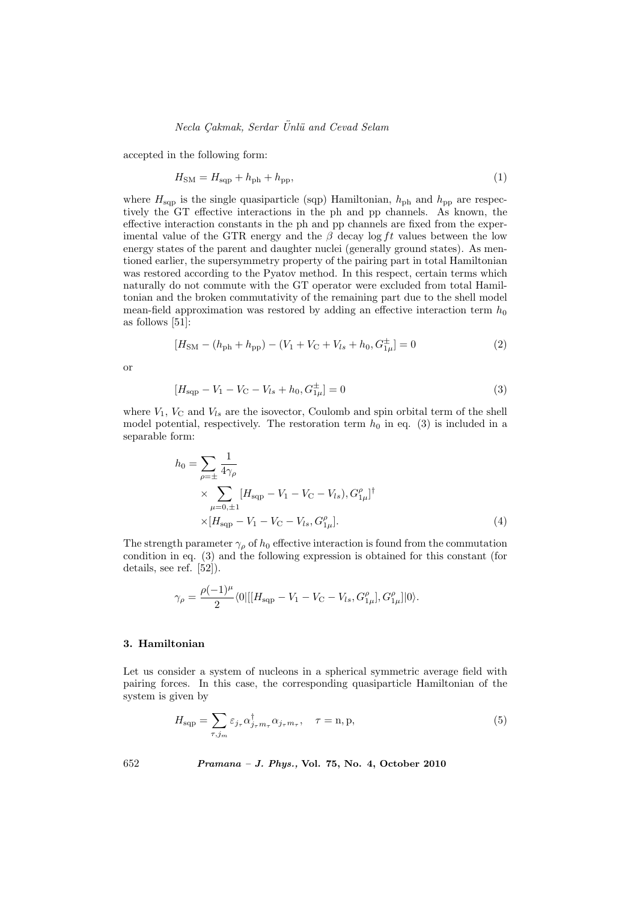accepted in the following form:

$$
H_{\rm SM} = H_{\rm sqp} + h_{\rm ph} + h_{\rm pp},\tag{1}
$$

where  $H_{\text{sqp}}$  is the single quasiparticle (sqp) Hamiltonian,  $h_{\text{ph}}$  and  $h_{\text{pp}}$  are respectively the GT effective interactions in the ph and pp channels. As known, the effective interaction constants in the ph and pp channels are fixed from the experimental value of the GTR energy and the  $\beta$  decay log ft values between the low energy states of the parent and daughter nuclei (generally ground states). As mentioned earlier, the supersymmetry property of the pairing part in total Hamiltonian was restored according to the Pyatov method. In this respect, certain terms which naturally do not commute with the GT operator were excluded from total Hamiltonian and the broken commutativity of the remaining part due to the shell model mean-field approximation was restored by adding an effective interaction term  $h_0$ as follows [51]:

$$
[H_{\rm SM} - (h_{\rm ph} + h_{\rm pp}) - (V_1 + V_{\rm C} + V_{ls} + h_0, G_{1\mu}^{\pm}] = 0
$$
\n(2)

or

$$
[H_{\text{sqp}} - V_1 - V_{\text{C}} - V_{ls} + h_0, G_{1\mu}^{\pm}] = 0
$$
\n(3)

where  $V_1$ ,  $V_C$  and  $V_{ls}$  are the isovector, Coulomb and spin orbital term of the shell model potential, respectively. The restoration term  $h_0$  in eq. (3) is included in a separable form:

$$
h_0 = \sum_{\rho = \pm} \frac{1}{4\gamma_{\rho}}
$$
  
 
$$
\times \sum_{\mu=0,\pm 1} [H_{\text{sqp}} - V_1 - V_{\text{C}} - V_{ls}), G_{1\mu}^{\rho}]^{\dagger}
$$
  
 
$$
\times [H_{\text{sqp}} - V_1 - V_{\text{C}} - V_{ls}, G_{1\mu}^{\rho}]. \tag{4}
$$

The strength parameter  $\gamma_{\rho}$  of  $h_0$  effective interaction is found from the commutation condition in eq. (3) and the following expression is obtained for this constant (for details, see ref. [52]).

$$
\gamma_{\rho} = \frac{\rho(-1)^{\mu}}{2} \langle 0 | [[H_{\text{sqp}} - V_1 - V_C - V_{ls}, G^{\rho}_{1\mu}], G^{\rho}_{1\mu}] | 0 \rangle.
$$

#### 3. Hamiltonian

Let us consider a system of nucleons in a spherical symmetric average field with pairing forces. In this case, the corresponding quasiparticle Hamiltonian of the system is given by

$$
H_{\text{sqp}} = \sum_{\tau,j_m} \varepsilon_{j_\tau} \alpha_{j_\tau m_\tau}^\dagger \alpha_{j_\tau m_\tau}, \quad \tau = \text{n}, \text{p}, \tag{5}
$$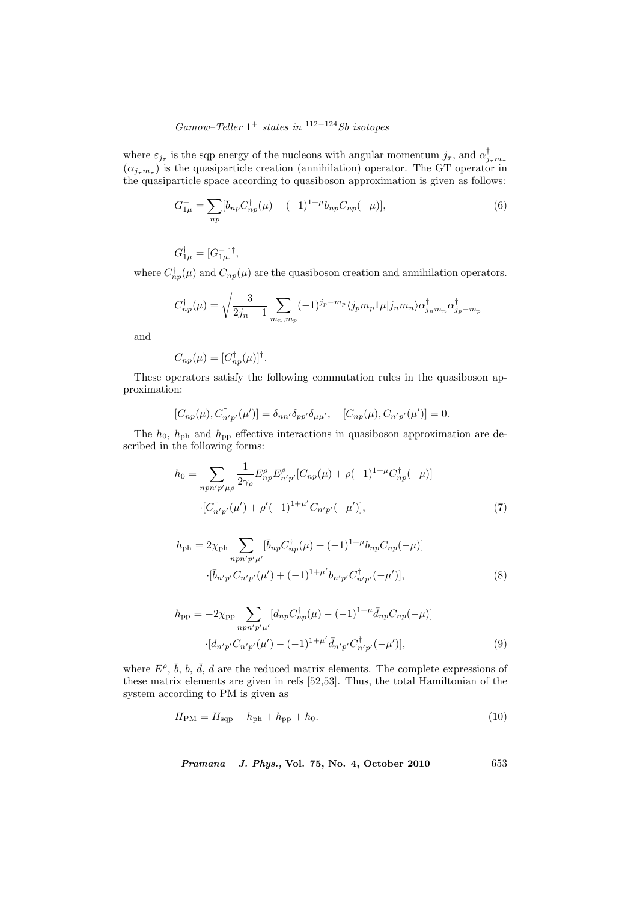# $Gamma-Teller 1+ states in <sup>112-124</sup>Sb isotopes$

where  $\varepsilon_{j_{\tau}}$  is the sqp energy of the nucleons with angular momentum  $j_{\tau}$ , and  $\alpha_{j_{\tau}m_{\tau}}^{\dagger}$  ( $\alpha_{j_{\tau}m_{\tau}}$ ) is the quasiparticle creation (annihilation) operator. The GT operator in the quasiparticle space according to quasiboson approximation is given as follows:

$$
G_{1\mu}^{-} = \sum_{np} [\bar{b}_{np} C_{np}^{\dagger}(\mu) + (-1)^{1+\mu} b_{np} C_{np}(-\mu)], \qquad (6)
$$

 $G^{\dagger}_{1\mu} = [G^{-}_{1\mu}]^{\dagger}$ ,

where  $C^{\dagger}_{np}(\mu)$  and  $C_{np}(\mu)$  are the quasiboson creation and annihilation operators.

$$
C_{np}^{\dagger}(\mu) = \sqrt{\frac{3}{2j_n+1}} \sum_{m_n,m_p} (-1)^{j_p - m_p} \langle j_p m_p 1 \mu | j_n m_n \rangle \alpha_{j_n m_n}^{\dagger} \alpha_{j_p - m_p}^{\dagger}
$$

and

$$
C_{np}(\mu) = [C_{np}^{\dagger}(\mu)]^{\dagger}.
$$

These operators satisfy the following commutation rules in the quasiboson approximation:

$$
[C_{np}(\mu), C^{\dagger}_{n'p'}(\mu')] = \delta_{nn'} \delta_{pp'} \delta_{\mu\mu'}, \quad [C_{np}(\mu), C_{n'p'}(\mu')] = 0.
$$

The  $h_0$ ,  $h_{\text{ph}}$  and  $h_{\text{pp}}$  effective interactions in quasiboson approximation are described in the following forms:

$$
h_0 = \sum_{npn'p'\mu\rho} \frac{1}{2\gamma_\rho} E_{np}^\rho E_{n'p'}^\rho [C_{np}(\mu) + \rho(-1)^{1+\mu} C_{np}^\dagger(-\mu)]
$$
  
 
$$
\cdot [C_{n'p'}^\dagger(\mu') + \rho'(-1)^{1+\mu'} C_{n'p'}(-\mu')], \tag{7}
$$

$$
h_{\rm ph} = 2\chi_{\rm ph} \sum_{npn'p'\mu'} [\bar{b}_{np}C_{np}^{\dagger}(\mu) + (-1)^{1+\mu} b_{np} C_{np}(-\mu)]
$$

$$
\cdot [\bar{b}_{n'p'} C_{n'p'}(\mu') + (-1)^{1+\mu'} b_{n'p'} C_{n'p'}^{\dagger}(-\mu')],
$$
(8)

$$
h_{\rm pp} = -2\chi_{\rm pp} \sum_{n p n' p' \mu'} [d_{n p} C_{n p}^{\dagger}(\mu) - (-1)^{1+\mu} \bar{d}_{n p} C_{n p}(-\mu)]
$$
  
 
$$
\cdot [d_{n' p'} C_{n' p'}(\mu') - (-1)^{1+\mu'} \bar{d}_{n' p'} C_{n' p'}^{\dagger}(-\mu')], \qquad (9)
$$

where  $E^{\rho}, \bar{b}, b, \bar{d}, d$  are the reduced matrix elements. The complete expressions of these matrix elements are given in refs [52,53]. Thus, the total Hamiltonian of the system according to PM is given as

$$
H_{\rm PM} = H_{\rm sqp} + h_{\rm ph} + h_{\rm pp} + h_0.
$$
\n(10)

Pramana – J. Phys., Vol. 75, No. 4, October 2010 653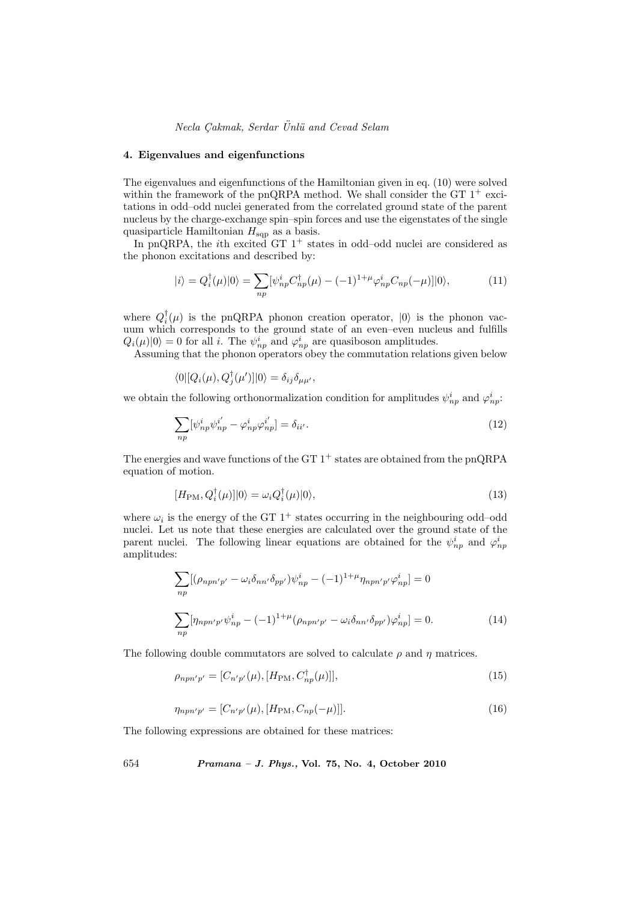# Necla Çakmak, Serdar Ünlü and Cevad Selam

#### 4. Eigenvalues and eigenfunctions

The eigenvalues and eigenfunctions of the Hamiltonian given in eq. (10) were solved within the framework of the pnQRPA method. We shall consider the GT  $1^+$  excitations in odd–odd nuclei generated from the correlated ground state of the parent nucleus by the charge-exchange spin–spin forces and use the eigenstates of the single quasiparticle Hamiltonian  $H_{\text{sqp}}$  as a basis.

In pnQRPA, the *i*th excited GT  $1^+$  states in odd–odd nuclei are considered as the phonon excitations and described by:

$$
|i\rangle = Q_i^{\dagger}(\mu)|0\rangle = \sum_{np} [\psi_{np}^i C_{np}^{\dagger}(\mu) - (-1)^{1+\mu} \varphi_{np}^i C_{np}(-\mu)]|0\rangle, \tag{11}
$$

where  $Q_i^{\dagger}(\mu)$  is the pnQRPA phonon creation operator,  $|0\rangle$  is the phonon vacuum which corresponds to the ground state of an even–even nucleus and fulfills  $Q_i(\mu)|0\rangle = 0$  for all *i*. The  $\psi_{np}^i$  and  $\varphi_{np}^i$  are quasiboson amplitudes.

Assuming that the phonon operators obey the commutation relations given below

$$
\langle 0 | [Q_i(\mu), Q_j^{\dagger}(\mu')] | 0 \rangle = \delta_{ij} \delta_{\mu \mu'},
$$

we obtain the following orthonormalization condition for amplitudes  $\psi_{np}^i$  and  $\varphi_{np}^i$ .

$$
\sum_{np} [\psi^i_{np} \psi^{i'}_{np} - \varphi^i_{np} \varphi^{i'}_{np}] = \delta_{ii'}.
$$
\n(12)

The energies and wave functions of the GT  $1^+$  states are obtained from the pnQRPA equation of motion.

$$
[H_{\rm PM}, Q_i^{\dagger}(\mu)]|0\rangle = \omega_i Q_i^{\dagger}(\mu)|0\rangle,\tag{13}
$$

where  $\omega_i$  is the energy of the GT 1<sup>+</sup> states occurring in the neighbouring odd-odd nuclei. Let us note that these energies are calculated over the ground state of the parent nuclei. The following linear equations are obtained for the  $\psi^i_{np}$  and  $\varphi^i_{np}$ amplitudes:

$$
\sum_{np} [(\rho_{npn'p'} - \omega_i \delta_{nn'} \delta_{pp'}) \psi_{np}^i - (-1)^{1+\mu} \eta_{npn'p'} \varphi_{np}^i] = 0
$$
  

$$
\sum_{np} [\eta_{npn'p'} \psi_{np}^i - (-1)^{1+\mu} (\rho_{npn'p'} - \omega_i \delta_{nn'} \delta_{pp'}) \varphi_{np}^i] = 0.
$$
 (14)

The following double commutators are solved to calculate  $\rho$  and  $\eta$  matrices.

$$
\rho_{npn'p'} = [C_{n'p'}(\mu), [H_{\rm PM}, C_{np}^\dagger(\mu)]],\tag{15}
$$

$$
\eta_{npn'p'} = [C_{n'p'}(\mu), [H_{\rm PM}, C_{np}(-\mu)]]. \tag{16}
$$

The following expressions are obtained for these matrices: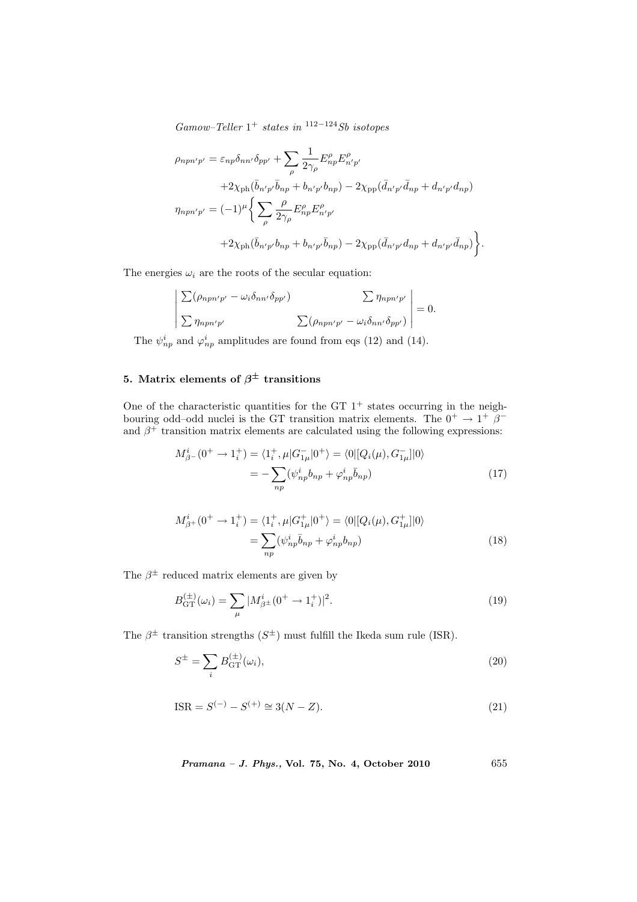$Gamma-Teller 1+ states in <sup>112-124</sup>Sb isotopes$ 

$$
\rho_{npn'p'} = \varepsilon_{np} \delta_{nn'} \delta_{pp'} + \sum_{\rho} \frac{1}{2\gamma_{\rho}} E^{\rho}_{np} E^{\rho}_{n'p'} \n+ 2\chi_{\text{ph}} (\bar{b}_{n'p'} \bar{b}_{np} + b_{n'p'} b_{np}) - 2\chi_{\text{pp}} (\bar{d}_{n'p'} \bar{d}_{np} + d_{n'p'} d_{np}) \n\eta_{npn'p'} = (-1)^{\mu} \Bigg\{ \sum_{\rho} \frac{\rho}{2\gamma_{\rho}} E^{\rho}_{np} E^{\rho}_{n'p'} \n+ 2\chi_{\text{ph}} (\bar{b}_{n'p'} b_{np} + b_{n'p'} \bar{b}_{np}) - 2\chi_{\text{pp}} (\bar{d}_{n'p'} d_{np} + d_{n'p'} \bar{d}_{np}) \Bigg\}.
$$

The energies  $\omega_i$  are the roots of the secular equation:

$$
\sum (\rho_{npn'p'} - \omega_i \delta_{nn'} \delta_{pp'}) \qquad \sum \eta_{npn'p'} \Big|_{\text{supp'}=0} = 0.
$$
  

$$
\sum \eta_{npn'p'} \qquad \sum (\rho_{npn'p'} - \omega_i \delta_{nn'} \delta_{pp'}) \Big|_{\text{supp'}}
$$

The  $\psi_{np}^i$  and  $\varphi_{np}^i$  amplitudes are found from eqs (12) and (14).

# 5. Matrix elements of  $\beta^{\pm}$  transitions

¯  $\begin{array}{c} \hline \end{array}$  $\overline{\phantom{a}}$  $\overline{\phantom{a}}$  $\overline{\phantom{a}}$  $\overline{1}$ 

One of the characteristic quantities for the GT  $1^+$  states occurring in the neighbouring odd–odd nuclei is the GT transition matrix elements. The  $0^+ \rightarrow 1^+$   $\beta^$ and  $\beta^+$  transition matrix elements are calculated using the following expressions:

$$
M_{\beta^{-}}^{i}(0^{+} \to 1_{i}^{+}) = \langle 1_{i}^{+}, \mu | G_{1\mu}^{-} | 0^{+} \rangle = \langle 0 | [Q_{i}(\mu), G_{1\mu}^{-}] | 0 \rangle
$$
  
= 
$$
-\sum_{np} (\psi_{np}^{i} b_{np} + \varphi_{np}^{i} \bar{b}_{np})
$$
(17)

$$
M_{\beta+}^{i}(0^{+} \to 1_{i}^{+}) = \langle 1_{i}^{+}, \mu | G_{1\mu}^{+} | 0^{+} \rangle = \langle 0 | [Q_{i}(\mu), G_{1\mu}^{+}] | 0 \rangle
$$
  
= 
$$
\sum_{np} (\psi_{np}^{i} \bar{b}_{np} + \varphi_{np}^{i} b_{np})
$$
 (18)

The  $\beta^{\pm}$  reduced matrix elements are given by

$$
B_{\rm GT}^{(\pm)}(\omega_i) = \sum_{\mu} |M_{\beta}^i(\mathbf{0}^+ \to \mathbf{1}_i^+)|^2. \tag{19}
$$

The  $\beta^{\pm}$  transition strengths  $(S^{\pm})$  must fulfill the Ikeda sum rule (ISR).

$$
S^{\pm} = \sum_{i} B_{\text{GT}}^{(\pm)}(\omega_i),\tag{20}
$$

$$
ISR = S^{(-)} - S^{(+)} \cong 3(N - Z). \tag{21}
$$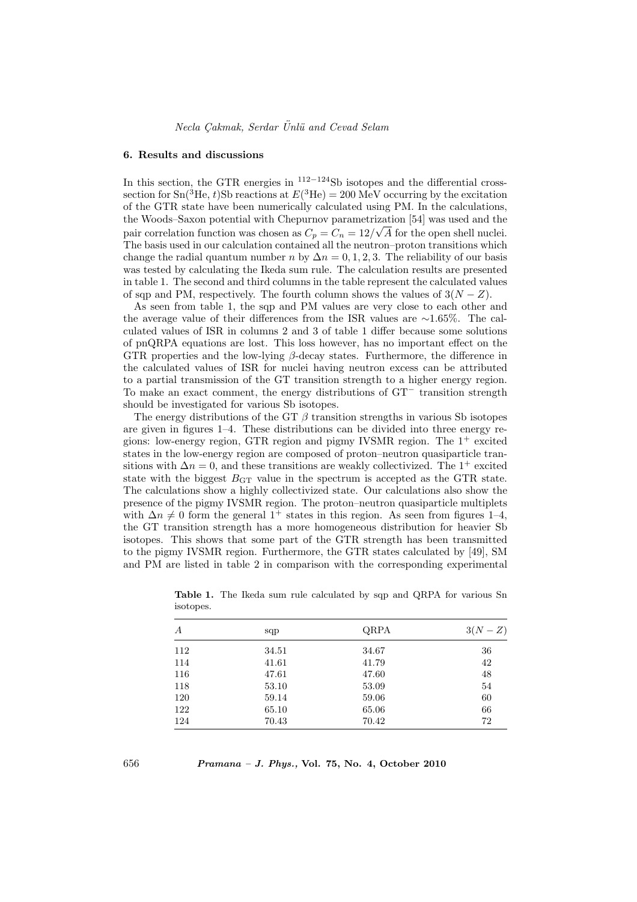#### 6. Results and discussions

In this section, the GTR energies in  $112-124$ Sb isotopes and the differential crosssection for Sn(<sup>3</sup>He, t)Sb reactions at  $E(^3\text{He}) = 200 \text{ MeV}$  occurring by the excitation of the GTR state have been numerically calculated using PM. In the calculations, the Woods–Saxon potential with Chepurnov parametrization [54] was used and the √ pair correlation function was chosen as  $C_p = C_n = 12/\sqrt{A}$  for the open shell nuclei. The basis used in our calculation contained all the neutron–proton transitions which change the radial quantum number n by  $\Delta n = 0, 1, 2, 3$ . The reliability of our basis was tested by calculating the Ikeda sum rule. The calculation results are presented in table 1. The second and third columns in the table represent the calculated values of sqp and PM, respectively. The fourth column shows the values of  $3(N - Z)$ .

As seen from table 1, the sqp and PM values are very close to each other and the average value of their differences from the ISR values are ∼1.65%. The calculated values of ISR in columns 2 and 3 of table 1 differ because some solutions of pnQRPA equations are lost. This loss however, has no important effect on the GTR properties and the low-lying  $\beta$ -decay states. Furthermore, the difference in the calculated values of ISR for nuclei having neutron excess can be attributed to a partial transmission of the GT transition strength to a higher energy region. To make an exact comment, the energy distributions of GT<sup>−</sup> transition strength should be investigated for various Sb isotopes.

The energy distributions of the GT  $\beta$  transition strengths in various Sb isotopes are given in figures 1–4. These distributions can be divided into three energy regions: low-energy region, GTR region and pigmy IVSMR region. The  $1^+$  excited states in the low-energy region are composed of proton–neutron quasiparticle transitions with  $\Delta n = 0$ , and these transitions are weakly collectivized. The 1<sup>+</sup> excited state with the biggest  $B_{\text{GT}}$  value in the spectrum is accepted as the GTR state. The calculations show a highly collectivized state. Our calculations also show the presence of the pigmy IVSMR region. The proton–neutron quasiparticle multiplets with  $\Delta n \neq 0$  form the general 1<sup>+</sup> states in this region. As seen from figures 1–4, the GT transition strength has a more homogeneous distribution for heavier Sb isotopes. This shows that some part of the GTR strength has been transmitted to the pigmy IVSMR region. Furthermore, the GTR states calculated by [49], SM and PM are listed in table 2 in comparison with the corresponding experimental

| А   | sqp   | QRPA  | $3(N-Z)$ |
|-----|-------|-------|----------|
| 112 | 34.51 | 34.67 | 36       |
| 114 | 41.61 | 41.79 | 42       |
| 116 | 47.61 | 47.60 | 48       |
| 118 | 53.10 | 53.09 | 54       |
| 120 | 59.14 | 59.06 | 60       |
| 122 | 65.10 | 65.06 | 66       |
| 124 | 70.43 | 70.42 | 72       |

Table 1. The Ikeda sum rule calculated by sqp and QRPA for various Sn isotopes.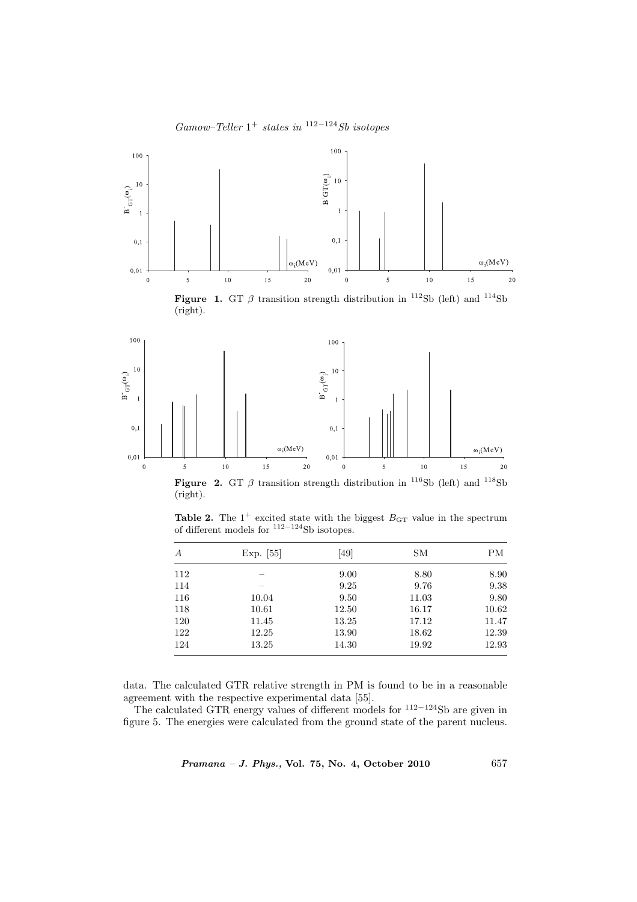

 $Gamma-Teller 1+ states in <sup>112-124</sup>Sb isotopes$ 

Figure 1. GT  $\beta$  transition strength distribution in <sup>112</sup>Sb (left) and <sup>114</sup>Sb (right).



Figure 2. GT  $\beta$  transition strength distribution in <sup>116</sup>Sb (left) and <sup>118</sup>Sb (right).

**Table 2.** The  $1^+$  excited state with the biggest  $B_{GT}$  value in the spectrum of different models for <sup>112−124</sup>Sb isotopes.

| Exp. [55] | [49]  | SМ    | ΡМ    |
|-----------|-------|-------|-------|
|           | 9.00  | 8.80  | 8.90  |
|           | 9.25  | 9.76  | 9.38  |
| 10.04     | 9.50  | 11.03 | 9.80  |
| 10.61     | 12.50 | 16.17 | 10.62 |
| 11.45     | 13.25 | 17.12 | 11.47 |
| 12.25     | 13.90 | 18.62 | 12.39 |
| 13.25     | 14.30 | 19.92 | 12.93 |
|           |       |       |       |

data. The calculated GTR relative strength in PM is found to be in a reasonable agreement with the respective experimental data [55].

The calculated GTR energy values of different models for  $112-124$ Sb are given in figure 5. The energies were calculated from the ground state of the parent nucleus.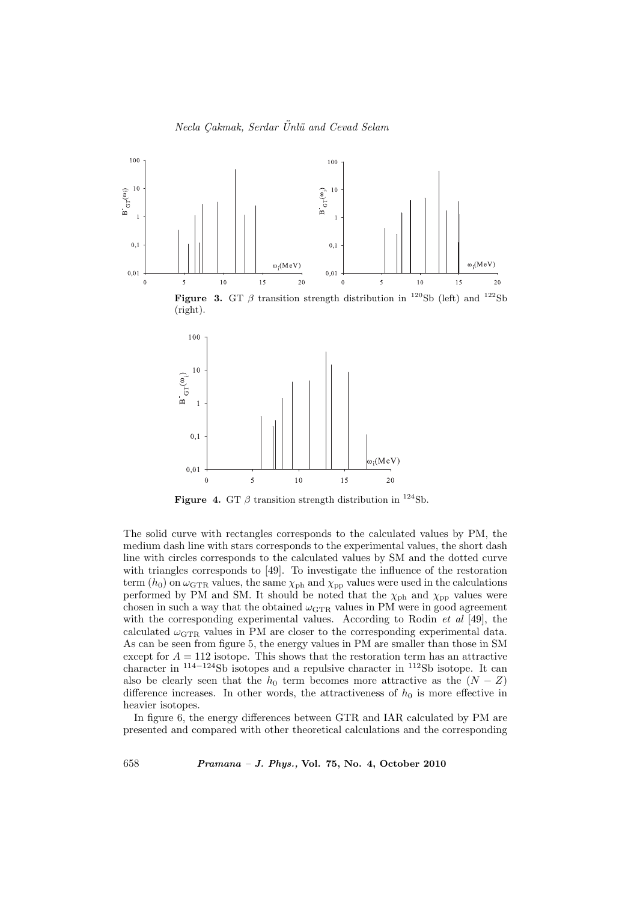

Figure 4. GT  $\beta$  transition strength distribution in <sup>124</sup>Sb.

The solid curve with rectangles corresponds to the calculated values by PM, the medium dash line with stars corresponds to the experimental values, the short dash line with circles corresponds to the calculated values by SM and the dotted curve with triangles corresponds to [49]. To investigate the influence of the restoration term  $(h_0)$  on  $\omega$ <sub>GTR</sub> values, the same  $\chi_{\rm ph}$  and  $\chi_{\rm pp}$  values were used in the calculations performed by PM and SM. It should be noted that the  $\chi_{\rm ph}$  and  $\chi_{\rm pp}$  values were chosen in such a way that the obtained  $\omega_{\text{GTR}}$  values in PM were in good agreement with the corresponding experimental values. According to Rodin *et al* [49], the calculated  $\omega_{\text{GTR}}$  values in PM are closer to the corresponding experimental data. As can be seen from figure 5, the energy values in PM are smaller than those in SM except for  $A = 112$  isotope. This shows that the restoration term has an attractive character in <sup>114</sup>−<sup>124</sup>Sb isotopes and a repulsive character in <sup>112</sup>Sb isotope. It can also be clearly seen that the  $h_0$  term becomes more attractive as the  $(N - Z)$ difference increases. In other words, the attractiveness of  $h_0$  is more effective in heavier isotopes.

In figure 6, the energy differences between GTR and IAR calculated by PM are presented and compared with other theoretical calculations and the corresponding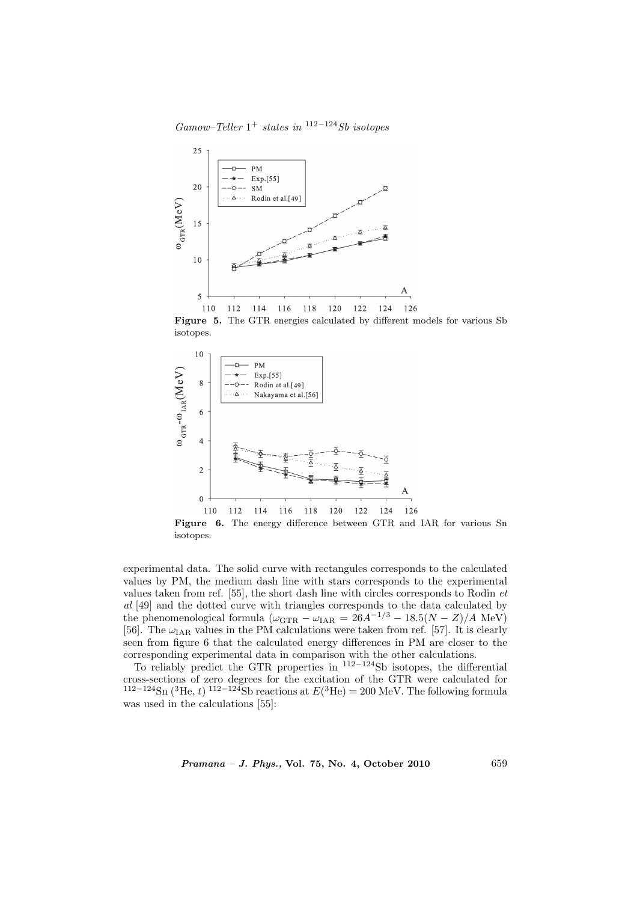$Gamma-Teller 1+ states in <sup>112-124</sup>Sb isotopes$ 



Figure 5. The GTR energies calculated by different models for various Sb isotopes.



experimental data. The solid curve with rectangules corresponds to the calculated values by PM, the medium dash line with stars corresponds to the experimental values taken from ref. [55], the short dash line with circles corresponds to Rodin et al [49] and the dotted curve with triangles corresponds to the data calculated by the phenomenological formula  $(\omega_{\text{GTR}} - \omega_{\text{IAR}} = 26A^{-1/3} - 18.5(N - Z)/A \text{ MeV})$ [56]. The  $\omega_{\text{IAR}}$  values in the PM calculations were taken from ref. [57]. It is clearly seen from figure 6 that the calculated energy differences in PM are closer to the corresponding experimental data in comparison with the other calculations.

To reliably predict the GTR properties in  $112-124$ Sb isotopes, the differential cross-sections of zero degrees for the excitation of the GTR were calculated for <sup>112−124</sup>Sn (<sup>3</sup>He, t)<sup>112−124</sup>Sb reactions at  $E(^3$ He) = 200 MeV. The following formula was used in the calculations [55]: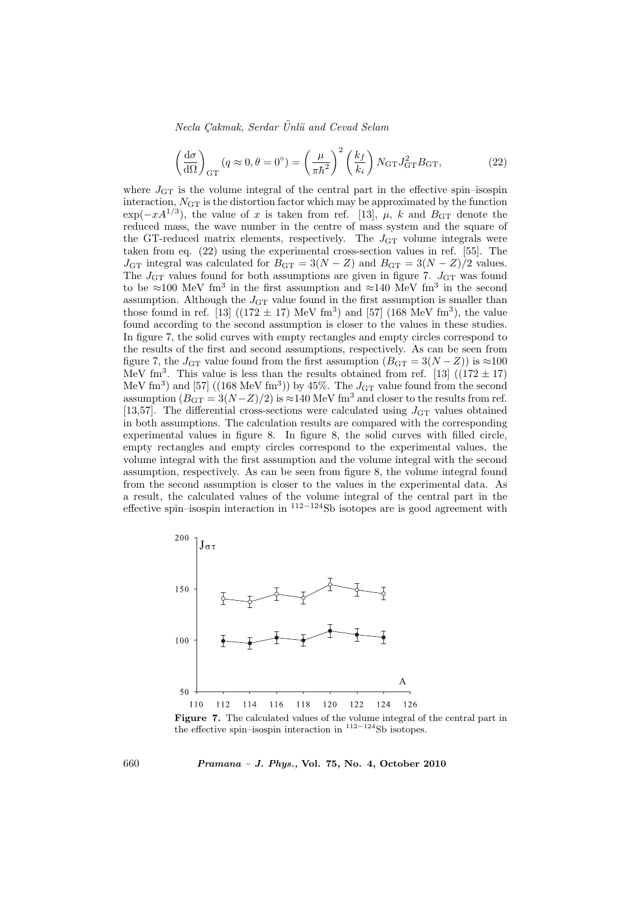Necla Cakmak, Serdar Ünlü and Cevad Selam

$$
\left(\frac{d\sigma}{d\Omega}\right)_{GT} (q \approx 0, \theta = 0^{\circ}) = \left(\frac{\mu}{\pi \hbar^2}\right)^2 \left(\frac{k_f}{k_i}\right) N_{GT} J_{GT}^2 B_{GT},\tag{22}
$$

where  $J_{\text{GT}}$  is the volume integral of the central part in the effective spin–isospin interaction,  $N_{GT}$  is the distortion factor which may be approximated by the function  $\exp(-xA^{1/3})$ , the value of x is taken from ref. [13],  $\mu$ , k and  $B_{GT}$  denote the reduced mass, the wave number in the centre of mass system and the square of the GT-reduced matrix elements, respectively. The  $J_{GT}$  volume integrals were taken from eq. (22) using the experimental cross-section values in ref. [55]. The  $J_{\text{GT}}$  integral was calculated for  $B_{\text{GT}} = 3(N - Z)$  and  $B_{\text{GT}} = 3(N - Z)/2$  values. The  $J_{GT}$  values found for both assumptions are given in figure 7.  $J_{GT}$  was found to be  $\approx 100$  MeV fm<sup>3</sup> in the first assumption and  $\approx 140$  MeV fm<sup>3</sup> in the second assumption. Although the  $J_{\text{GT}}$  value found in the first assumption is smaller than those found in ref. [13]  $((172 \pm 17) \text{ MeV fm}^3)$  and [57]  $(168 \text{ MeV fm}^3)$ , the value found according to the second assumption is closer to the values in these studies. In figure 7, the solid curves with empty rectangles and empty circles correspond to the results of the first and second assumptions, respectively. As can be seen from figure 7, the  $J_{GT}$  value found from the first assumption  $(B_{GT} = 3(N - Z))$  is ≈100 MeV fm<sup>3</sup>. This value is less than the results obtained from ref. [13]  $((172 \pm 17)$ MeV fm<sup>3</sup>) and [57] ((168 MeV fm<sup>3</sup>)) by 45%. The  $J_{GT}$  value found from the second assumption  $(B_{GT} = 3(N-Z)/2)$  is ≈140 MeV fm<sup>3</sup> and closer to the results from ref. [13,57]. The differential cross-sections were calculated using  $J_{\text{GT}}$  values obtained in both assumptions. The calculation results are compared with the corresponding experimental values in figure 8. In figure 8, the solid curves with filled circle, empty rectangles and empty circles correspond to the experimental values, the volume integral with the first assumption and the volume integral with the second assumption, respectively. As can be seen from figure 8, the volume integral found from the second assumption is closer to the values in the experimental data. As a result, the calculated values of the volume integral of the central part in the effective spin–isospin interaction in  $112-124$ Sb isotopes are is good agreement with



Figure 7. The calculated values of the volume integral of the central part in the effective spin–isospin interaction in <sup>112</sup>−<sup>124</sup>Sb isotopes.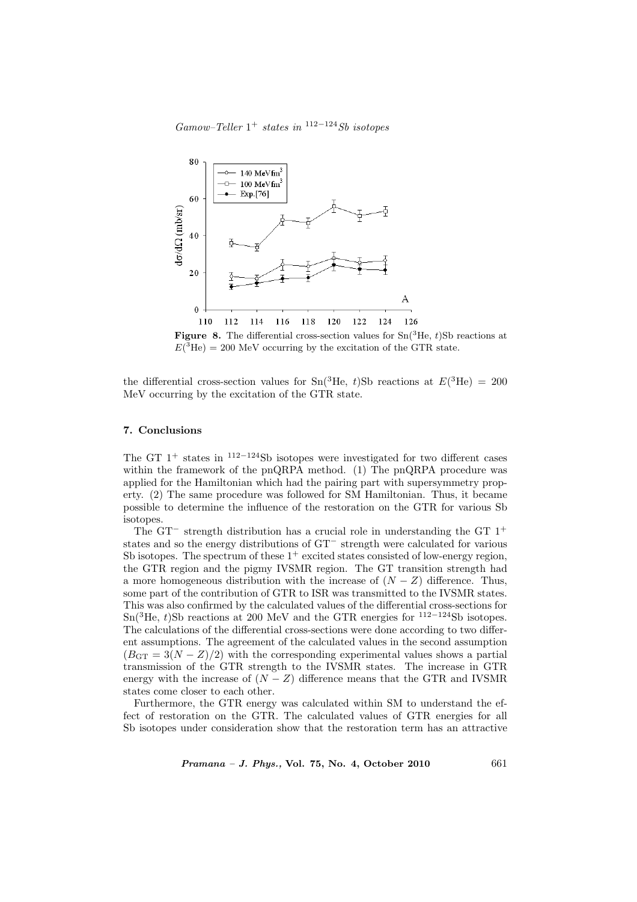$Gamma-Teller 1+ states in <sup>112-124</sup>Sb isotopes$ 



**Figure 8.** The differential cross-section values for  $\text{Sn}(^{3}\text{He}, t)$ Sb reactions at  $E({}^{3}\text{He}) = 200 \text{ MeV}$  occurring by the excitation of the GTR state.

the differential cross-section values for  $\text{Sn}(^3\text{He}, t)$ Sb reactions at  $E(^3\text{He}) = 200$ MeV occurring by the excitation of the GTR state.

### 7. Conclusions

The GT 1<sup>+</sup> states in <sup>112</sup>−<sup>124</sup>Sb isotopes were investigated for two different cases within the framework of the pnQRPA method. (1) The pnQRPA procedure was applied for the Hamiltonian which had the pairing part with supersymmetry property. (2) The same procedure was followed for SM Hamiltonian. Thus, it became possible to determine the influence of the restoration on the GTR for various Sb isotopes.

The GT<sup> $-$ </sup> strength distribution has a crucial role in understanding the GT  $1^+$ states and so the energy distributions of GT<sup>−</sup> strength were calculated for various Sb isotopes. The spectrum of these  $1^+$  excited states consisted of low-energy region, the GTR region and the pigmy IVSMR region. The GT transition strength had a more homogeneous distribution with the increase of  $(N - Z)$  difference. Thus, some part of the contribution of GTR to ISR was transmitted to the IVSMR states. This was also confirmed by the calculated values of the differential cross-sections for Sn(<sup>3</sup>He, t)Sb reactions at 200 MeV and the GTR energies for <sup>112−124</sup>Sb isotopes. The calculations of the differential cross-sections were done according to two different assumptions. The agreement of the calculated values in the second assumption  $(B_{\text{GT}} = 3(N - Z)/2)$  with the corresponding experimental values shows a partial transmission of the GTR strength to the IVSMR states. The increase in GTR energy with the increase of  $(N - Z)$  difference means that the GTR and IVSMR states come closer to each other.

Furthermore, the GTR energy was calculated within SM to understand the effect of restoration on the GTR. The calculated values of GTR energies for all Sb isotopes under consideration show that the restoration term has an attractive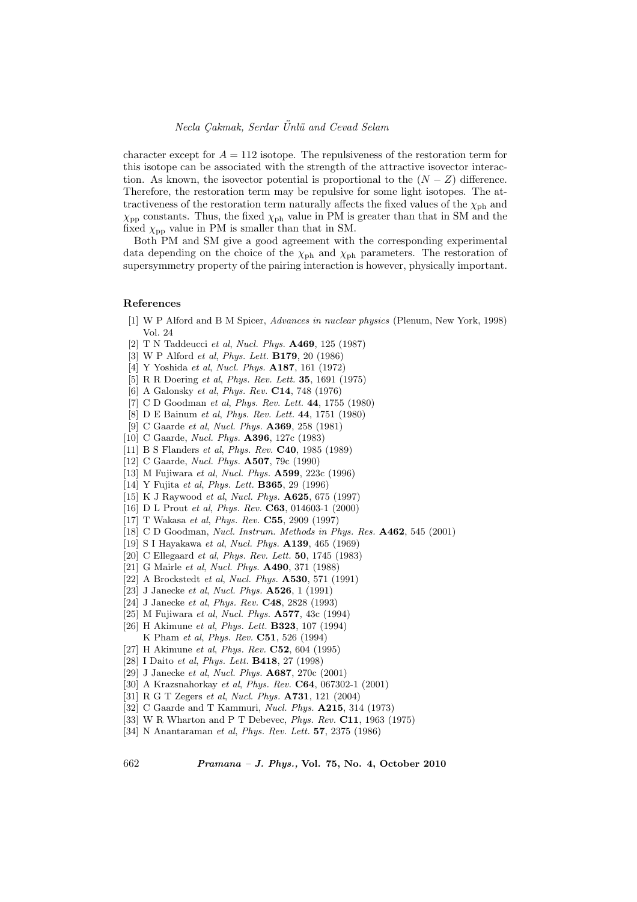# Necla Cakmak, Serdar Ünlü and Cevad Selam

character except for  $A = 112$  isotope. The repulsiveness of the restoration term for this isotope can be associated with the strength of the attractive isovector interaction. As known, the isovector potential is proportional to the  $(N - Z)$  difference. Therefore, the restoration term may be repulsive for some light isotopes. The attractiveness of the restoration term naturally affects the fixed values of the  $\chi_{\rm ph}$  and  $\chi_{\rm pp}$  constants. Thus, the fixed  $\chi_{\rm ph}$  value in PM is greater than that in SM and the fixed  $\chi_{\text{pp}}$  value in PM is smaller than that in SM.

Both PM and SM give a good agreement with the corresponding experimental data depending on the choice of the  $\chi_{\rm ph}$  and  $\chi_{\rm ph}$  parameters. The restoration of supersymmetry property of the pairing interaction is however, physically important.

#### References

- [1] W P Alford and B M Spicer, Advances in nuclear physics (Plenum, New York, 1998) Vol. 24
- [2] T N Taddeucci et al, Nucl. Phys. A469, 125 (1987)
- [3] W P Alford *et al, Phys. Lett.* **B179**, 20 (1986)
- [4] Y Yoshida et al, Nucl. Phys. A187, 161 (1972)
- [5] R R Doering et al, *Phys. Rev. Lett.* **35**, 1691 (1975)
- [6] A Galonsky et al, Phys. Rev. C14, 748 (1976)
- [7] C D Goodman et al, *Phys. Rev. Lett.* 44, 1755 (1980)
- [8] D E Bainum et al, Phys. Rev. Lett. 44, 1751 (1980)
- [9] C Gaarde et al, Nucl. Phys. A369, 258 (1981)
- [10] C Gaarde, Nucl. Phys. A396, 127c (1983)
- [11] B S Flanders et al, Phys. Rev. **C40**, 1985 (1989)
- [12] C Gaarde, Nucl. Phys. A507, 79c (1990)
- [13] M Fujiwara et al, Nucl. Phys. A599, 223c (1996)
- [14] Y Fujita et al, Phys. Lett. **B365**, 29 (1996)
- [15] K J Raywood et al, Nucl. Phys. A625, 675 (1997)
- [16] D L Prout et al, Phys. Rev. C63, 014603-1 (2000)
- [17] T Wakasa et al, Phys. Rev. C55, 2909 (1997)
- [18] C D Goodman, Nucl. Instrum. Methods in Phys. Res.  $A462$ , 545 (2001)
- [19] S I Hayakawa et al, Nucl. Phys. A139, 465 (1969)
- [20] C Ellegaard et al, Phys. Rev. Lett. **50**, 1745 (1983)
- [21] G Mairle et al, Nucl. Phys. A490, 371 (1988)
- [22] A Brockstedt *et al, Nucl. Phys.* **A530**, 571 (1991)
- [23] J Janecke et al, Nucl. Phys. A526, 1 (1991)
- [24] J Janecke et al, Phys. Rev. **C48**, 2828 (1993)
- [25] M Fujiwara et al, Nucl. Phys. A577, 43c (1994)
- [26] H Akimune et al, Phys. Lett. B323, 107 (1994) K Pham et al, Phys. Rev. C51, 526 (1994)
- [27] H Akimune et al, Phys. Rev. C52, 604 (1995)
- [28] I Daito et al, Phys. Lett. **B418**, 27 (1998)
- [29] J Janecke et al, Nucl. Phys. A687, 270c (2001)
- [30] A Krazsnahorkay et al, Phys. Rev. C64, 067302-1 (2001)
- [31] R G T Zegers et al, Nucl. Phys. A731, 121 (2004)
- [32] C Gaarde and T Kammuri, Nucl. Phys. A215, 314 (1973)
- [33] W R Wharton and P T Debevec, Phys. Rev. C11, 1963 (1975)
- [34] N Anantaraman et al, Phys. Rev. Lett. 57, 2375 (1986)